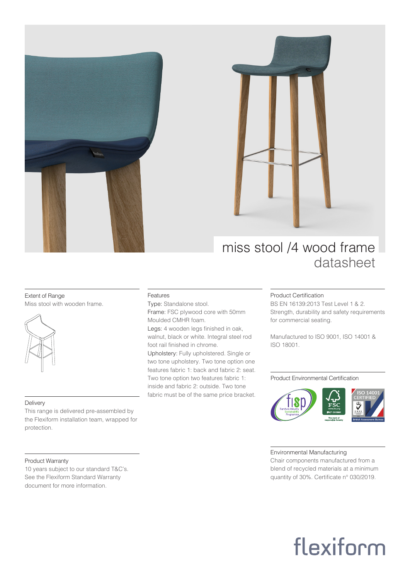



### miss stool /4 wood frame datasheet

#### Extent of Range Miss stool with wooden frame.



#### Delivery

This range is delivered pre-assembled by the Flexiform installation team, wrapped for protection.

#### Product Warranty

10 years subject to our standard T&C's. See the Flexiform Standard Warranty document for more information.

#### Features

Type: Standalone stool. Frame: FSC plywood core with 50mm Moulded CMHR foam.

Legs: 4 wooden legs finished in oak. walnut, black or white. Integral steel rod foot rail finished in chrome.

Upholstery: Fully upholstered. Single or two tone upholstery. Two tone option one features fabric 1: back and fabric 2: seat. Two tone option two features fabric 1: inside and fabric 2: outside. Two tone fabric must be of the same price bracket.

#### Product Certification

BS EN 16139:2013 Test Level 1 & 2. Strength, durability and safety requirements for commercial seating.

Manufactured to ISO 9001, ISO 14001 & ISO 18001.

#### Product Environmental Certification



#### Environmental Manufacturing

Chair components manufactured from a blend of recycled materials at a minimum quantity of 30%. Certificate n° 030/2019.

# flexiform